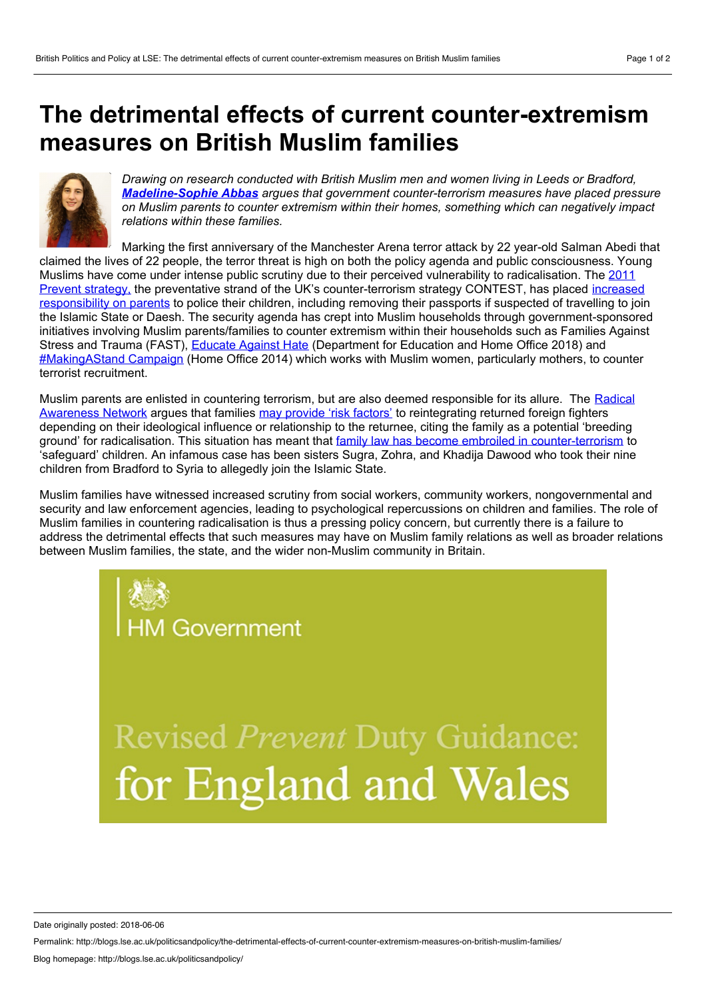## <span id="page-0-0"></span>**The detrimental effects of current counter-extremism measures on British Muslim families**



*Drawing on research conducted with British Muslim men and women living in Leeds or Bradford, [Madeline-Sophie](#page-0-0) Abbas argues that government counter-terrorism measures have placed pressure on Muslim parents to counter extremism within their homes, something which can negatively impact relations within these families.*

Marking the first anniversary of the Manchester Arena terror attack by 22 year-old Salman Abedi that claimed the lives of 22 people, the terror threat is high on both the policy agenda and public consciousness. Young Muslims have come under intense public scrutiny due to their perceived vulnerability to radicalisation. The 2011 Prevent strategy, the preventative strand of the UK's [counter-terrorism](file:///private/var/folders/91/v7w4glcj37xgpnq1bc6bf2h947czhj/T/researchbriefings.files.parliament.uk/documents/CBP-7238/CBP-7238.pdf) strategy CONTEST, has placed increased responsibility on parents to police their children, including removing their passports if suspected of travelling to join the Islamic State or Daesh. The security agenda has crept into Muslim households through government-sponsored initiatives involving Muslim parents/families to counter extremism within their households such as Families Against Stress and Trauma (FAST), [Educate](https://educateagainsthate.com/) Against Hate (Department for Education and Home Office 2018) and [#MakingAStand](https://wewillinspire.com/makingastand-campaign-launch/) Campaign (Home Office 2014) which works with Muslim women, particularly mothers, to counter terrorist recruitment.

Muslim parents are enlisted in countering terrorism, but are also deemed responsible for its allure. The Radical Awareness Network argues that families may [provide](https://terrorismlegislationreviewer.independent.gov.uk/wp-content/uploads/2016/12/TERRORISM-ACTS-REPORT-1-Dec-2016-1.pdf) 'risk factors' to [reintegrating](https://ec.europa.eu/home-affairs/sites/homeaffairs/files/ran_br_a4_m10_en.pdf) returned foreign fighters depending on their ideological influence or relationship to the returnee, citing the family as a potential 'breeding ground' for radicalisation. This situation has meant that family law has become embroiled in [counter-terrorism](https://assets.publishing.service.gov.uk/government/uploads/system/uploads/attachment_data/file/668680/CCS207_CCS1217596216-1_Cm_9555_-_COVERS_AND_TEXT_WEB.pdf) to 'safeguard' children. An infamous case has been sisters Sugra, Zohra, and Khadija Dawood who took their nine children from Bradford to Syria to allegedly join the Islamic State.

Muslim families have witnessed increased scrutiny from social workers, community workers, nongovernmental and security and law enforcement agencies, leading to psychological repercussions on children and families. The role of Muslim families in countering radicalisation is thus a pressing policy concern, but currently there is a failure to address the detrimental effects that such measures may have on Muslim family relations as well as broader relations between Muslim families, the state, and the wider non-Muslim community in Britain.

> **Revised Prevent Duty Guidance:** for England and Wales

Date originally posted: 2018-06-06

Permalink: http://blogs.lse.ac.uk/politicsandpolicy/the-detrimental-effects-of-current-counter-extremism-measures-on-british-muslim-families/

1 Government